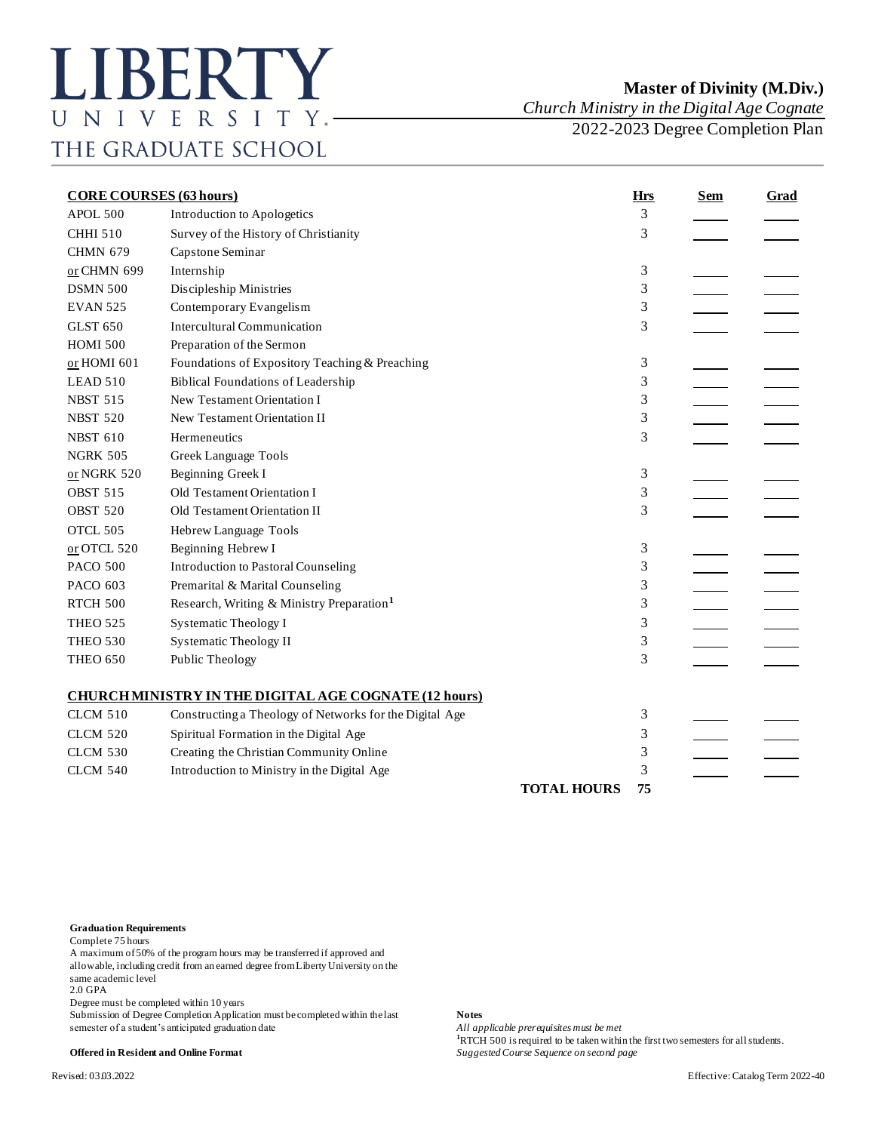*Church Ministry in the Digital Age Cognate*

2022-2023 Degree Completion Plan

| <b>CORE COURSES (63 hours)</b> |                                                              | <b>Hrs</b>         | <b>Sem</b> | <b>Grad</b> |  |
|--------------------------------|--------------------------------------------------------------|--------------------|------------|-------------|--|
| APOL 500                       | Introduction to Apologetics                                  |                    | 3          |             |  |
| <b>CHHI 510</b>                | Survey of the History of Christianity                        |                    | 3          |             |  |
| <b>CHMN 679</b>                | Capstone Seminar                                             |                    |            |             |  |
| or CHMN 699                    | Internship                                                   |                    | 3          |             |  |
| <b>DSMN 500</b>                | Discipleship Ministries                                      |                    | 3          |             |  |
| <b>EVAN 525</b>                | Contemporary Evangelism                                      |                    | 3          |             |  |
| <b>GLST 650</b>                | <b>Intercultural Communication</b>                           |                    | 3          |             |  |
| <b>HOMI 500</b>                | Preparation of the Sermon                                    |                    |            |             |  |
| or HOMI 601                    | Foundations of Expository Teaching & Preaching               |                    | 3          |             |  |
| LEAD 510                       | <b>Biblical Foundations of Leadership</b>                    |                    | 3          |             |  |
| <b>NBST 515</b>                | New Testament Orientation I                                  |                    | 3          |             |  |
| <b>NBST 520</b>                | New Testament Orientation II                                 |                    | 3          |             |  |
| <b>NBST 610</b>                | Hermeneutics                                                 |                    | 3          |             |  |
| <b>NGRK 505</b>                | Greek Language Tools                                         |                    |            |             |  |
| or NGRK 520                    | Beginning Greek I                                            |                    | 3          |             |  |
| <b>OBST 515</b>                | Old Testament Orientation I                                  |                    | 3          |             |  |
| <b>OBST 520</b>                | Old Testament Orientation II                                 |                    | 3          |             |  |
| OTCL 505                       | Hebrew Language Tools                                        |                    |            |             |  |
| or OTCL 520                    | Beginning Hebrew I                                           |                    | 3          |             |  |
| <b>PACO 500</b>                | <b>Introduction to Pastoral Counseling</b>                   |                    | 3          |             |  |
| PACO 603                       | Premarital & Marital Counseling                              |                    | 3          |             |  |
| <b>RTCH 500</b>                | Research, Writing & Ministry Preparation <sup>1</sup>        |                    | 3          |             |  |
| <b>THEO 525</b>                | Systematic Theology I                                        |                    | 3          |             |  |
| <b>THEO 530</b>                | <b>Systematic Theology II</b>                                |                    | 3          |             |  |
| <b>THEO 650</b>                | Public Theology                                              |                    | 3          |             |  |
|                                | <b>CHURCH MINISTRY IN THE DIGITAL AGE COGNATE (12 hours)</b> |                    |            |             |  |
| <b>CLCM 510</b>                | Constructing a Theology of Networks for the Digital Age      |                    | 3          |             |  |
| <b>CLCM 520</b>                | Spiritual Formation in the Digital Age                       |                    | 3          |             |  |
| <b>CLCM 530</b>                | Creating the Christian Community Online                      |                    | 3          |             |  |
| <b>CLCM 540</b>                | Introduction to Ministry in the Digital Age                  |                    | 3          |             |  |
|                                |                                                              | <b>TOTAL HOURS</b> | 75         |             |  |

## **Graduation Requirements**

Complete 75 hours

A maximum of 50% of the program hours may be transferred if approved and allowable, including credit from an earned degree from Liberty University on the same academic level

2.0 GPA

Degree must be completed within 10 years

Submission of Degree Completion Application must be completed within the last **Notes**<br>semester of a student's anticipated graduation date *All applicable prerequisites must be met* semester of a student's anticipated graduation date

**<sup>1</sup>**RTCH 500 is required to be taken within the first two semesters for all students. **Offered in Resident and Online Format** *Suggested Course Sequence on second page*